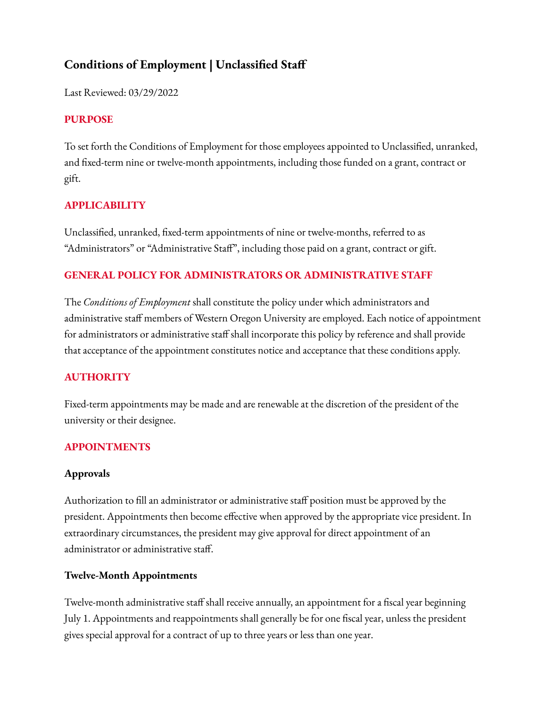# **Conditions of Employment | Unclassified Staff**

Last Reviewed: 03/29/2022

### **PURPOSE**

To set forth the Conditions of Employment for those employees appointed to Unclassified, unranked, and fixed-term nine or twelve-month appointments, including those funded on a grant, contract or gift.

## **APPLICABILITY**

Unclassified, unranked, fixed-term appointments of nine or twelve-months, referred to as "Administrators" or "Administrative Staff", including those paid on a grant, contract or gift.

## **GENERAL POLICY FOR ADMINISTRATORS OR ADMINISTRATIVE STAFF**

The *Conditions of Employment* shall constitute the policy under which administrators and administrative staff members of Western Oregon University are employed. Each notice of appointment for administrators or administrative staff shall incorporate this policy by reference and shall provide that acceptance of the appointment constitutes notice and acceptance that these conditions apply.

### **AUTHORITY**

Fixed-term appointments may be made and are renewable at the discretion of the president of the university or their designee.

### **APPOINTMENTS**

### **Approvals**

Authorization to fill an administrator or administrative staff position must be approved by the president. Appointments then become effective when approved by the appropriate vice president. In extraordinary circumstances, the president may give approval for direct appointment of an administrator or administrative staff.

### **Twelve-Month Appointments**

Twelve-month administrative staff shall receive annually, an appointment for a fiscal year beginning July 1. Appointments and reappointments shall generally be for one fiscal year, unless the president gives special approval for a contract of up to three years or less than one year.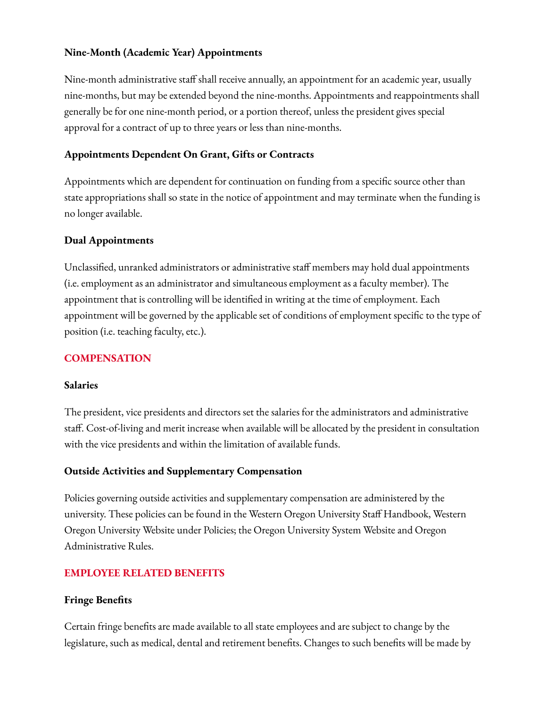#### **Nine-Month (Academic Year) Appointments**

Nine-month administrative staff shall receive annually, an appointment for an academic year, usually nine-months, but may be extended beyond the nine-months. Appointments and reappointments shall generally be for one nine-month period, or a portion thereof, unless the president gives special approval for a contract of up to three years or less than nine-months.

#### **Appointments Dependent On Grant, Gifts or Contracts**

Appointments which are dependent for continuation on funding from a specific source other than state appropriations shall so state in the notice of appointment and may terminate when the funding is no longer available.

#### **Dual Appointments**

Unclassified, unranked administrators or administrative staff members may hold dual appointments (i.e. employment as an administrator and simultaneous employment as a faculty member). The appointment that is controlling will be identified in writing at the time of employment. Each appointment will be governed by the applicable set of conditions of employment specific to the type of position (i.e. teaching faculty, etc.).

#### **COMPENSATION**

#### **Salaries**

The president, vice presidents and directors set the salaries for the administrators and administrative staff. Cost-of-living and merit increase when available will be allocated by the president in consultation with the vice presidents and within the limitation of available funds.

#### **Outside Activities and Supplementary Compensation**

Policies governing outside activities and supplementary compensation are administered by the university. These policies can be found in the Western Oregon University Staff Handbook, Western Oregon University Website under Policies; the Oregon University System Website and Oregon Administrative Rules.

### **EMPLOYEE RELATED BENEFITS**

#### **Fringe Benefits**

Certain fringe benefits are made available to all state employees and are subject to change by the legislature, such as medical, dental and retirement benefits. Changes to such benefits will be made by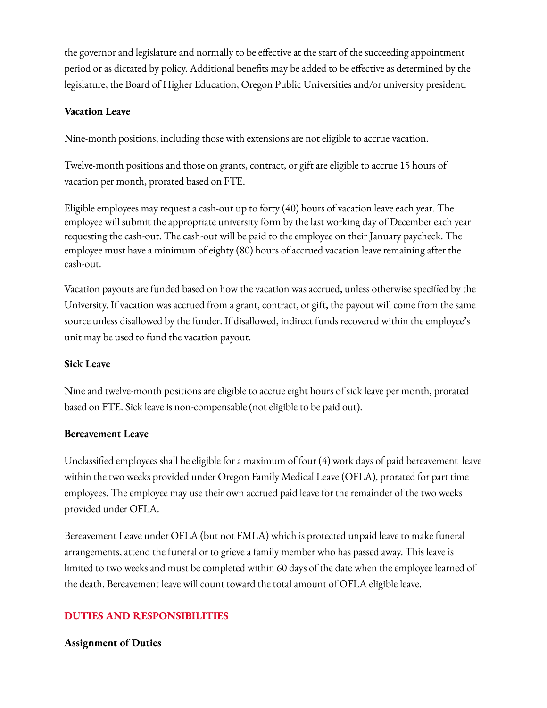the governor and legislature and normally to be effective at the start of the succeeding appointment period or as dictated by policy. Additional benefits may be added to be effective as determined by the legislature, the Board of Higher Education, Oregon Public Universities and/or university president.

### **Vacation Leave**

Nine-month positions, including those with extensions are not eligible to accrue vacation.

Twelve-month positions and those on grants, contract, or gift are eligible to accrue 15 hours of vacation per month, prorated based on FTE.

Eligible employees may request a cash-out up to forty (40) hours of vacation leave each year. The employee will submit the appropriate university form by the last working day of December each year requesting the cash-out. The cash-out will be paid to the employee on their January paycheck. The employee must have a minimum of eighty (80) hours of accrued vacation leave remaining after the cash-out.

Vacation payouts are funded based on how the vacation was accrued, unless otherwise specified by the University. If vacation was accrued from a grant, contract, or gift, the payout will come from the same source unless disallowed by the funder. If disallowed, indirect funds recovered within the employee's unit may be used to fund the vacation payout.

#### **Sick Leave**

Nine and twelve-month positions are eligible to accrue eight hours of sick leave per month, prorated based on FTE. Sick leave is non-compensable (not eligible to be paid out).

#### **Bereavement Leave**

Unclassified employees shall be eligible for a maximum of four (4) work days of paid bereavement leave within the two weeks provided under Oregon Family Medical Leave (OFLA), prorated for part time employees. The employee may use their own accrued paid leave for the remainder of the two weeks provided under OFLA.

Bereavement Leave under OFLA (but not FMLA) which is protected unpaid leave to make funeral arrangements, attend the funeral or to grieve a family member who has passed away. This leave is limited to two weeks and must be completed within 60 days of the date when the employee learned of the death. Bereavement leave will count toward the total amount of OFLA eligible leave.

### **DUTIES AND RESPONSIBILITIES**

#### **Assignment of Duties**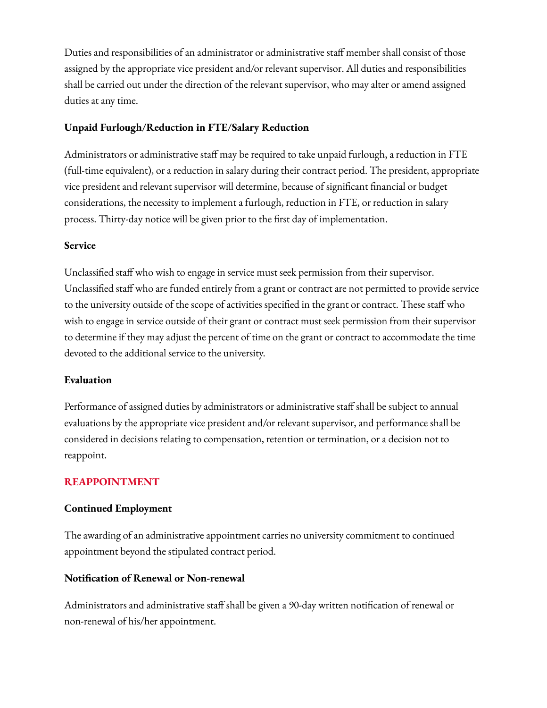Duties and responsibilities of an administrator or administrative staff member shall consist of those assigned by the appropriate vice president and/or relevant supervisor. All duties and responsibilities shall be carried out under the direction of the relevant supervisor, who may alter or amend assigned duties at any time.

#### **Unpaid Furlough/Reduction in FTE/Salary Reduction**

Administrators or administrative staff may be required to take unpaid furlough, a reduction in FTE (full-time equivalent), or a reduction in salary during their contract period. The president, appropriate vice president and relevant supervisor will determine, because of significant financial or budget considerations, the necessity to implement a furlough, reduction in FTE, or reduction in salary process. Thirty-day notice will be given prior to the first day of implementation.

#### **Service**

Unclassified staff who wish to engage in service must seek permission from their supervisor. Unclassified staff who are funded entirely from a grant or contract are not permitted to provide service to the university outside of the scope of activities specified in the grant or contract. These staff who wish to engage in service outside of their grant or contract must seek permission from their supervisor to determine if they may adjust the percent of time on the grant or contract to accommodate the time devoted to the additional service to the university.

#### **Evaluation**

Performance of assigned duties by administrators or administrative staff shall be subject to annual evaluations by the appropriate vice president and/or relevant supervisor, and performance shall be considered in decisions relating to compensation, retention or termination, or a decision not to reappoint.

### **REAPPOINTMENT**

#### **Continued Employment**

The awarding of an administrative appointment carries no university commitment to continued appointment beyond the stipulated contract period.

#### **Notification of Renewal or Non-renewal**

Administrators and administrative staff shall be given a 90-day written notification of renewal or non-renewal of his/her appointment.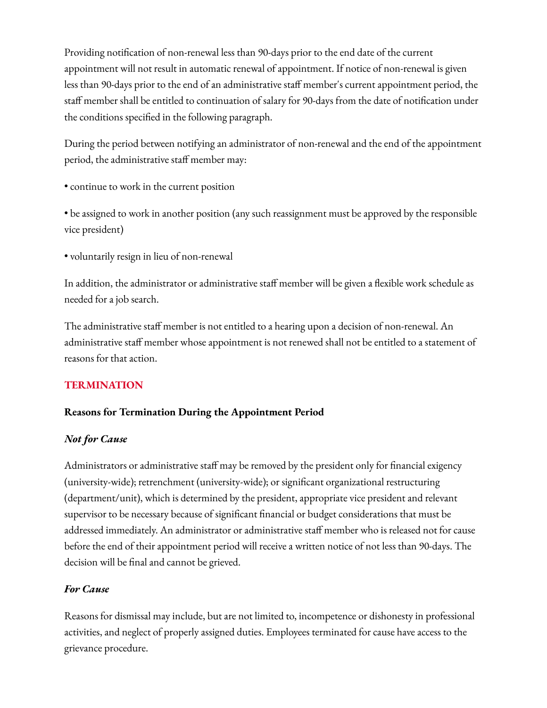Providing notification of non-renewal less than 90-days prior to the end date of the current appointment will not result in automatic renewal of appointment. If notice of non-renewal is given less than 90-days prior to the end of an administrative staff member's current appointment period, the staff member shall be entitled to continuation of salary for 90-days from the date of notification under the conditions specified in the following paragraph.

During the period between notifying an administrator of non-renewal and the end of the appointment period, the administrative staff member may:

- continue to work in the current position
- be assigned to work in another position (any such reassignment must be approved by the responsible vice president)
- voluntarily resign in lieu of non-renewal

In addition, the administrator or administrative staff member will be given a flexible work schedule as needed for a job search.

The administrative staff member is not entitled to a hearing upon a decision of non-renewal. An administrative staff member whose appointment is not renewed shall not be entitled to a statement of reasons for that action.

### **TERMINATION**

### **Reasons for Termination During the Appointment Period**

### *Not for Cause*

Administrators or administrative staff may be removed by the president only for financial exigency (university-wide); retrenchment (university-wide); or significant organizational restructuring (department/unit), which is determined by the president, appropriate vice president and relevant supervisor to be necessary because of significant financial or budget considerations that must be addressed immediately. An administrator or administrative staff member who is released not for cause before the end of their appointment period will receive a written notice of not less than 90-days. The decision will be final and cannot be grieved.

#### *For Cause*

Reasons for dismissal may include, but are not limited to, incompetence or dishonesty in professional activities, and neglect of properly assigned duties. Employees terminated for cause have access to the grievance procedure.